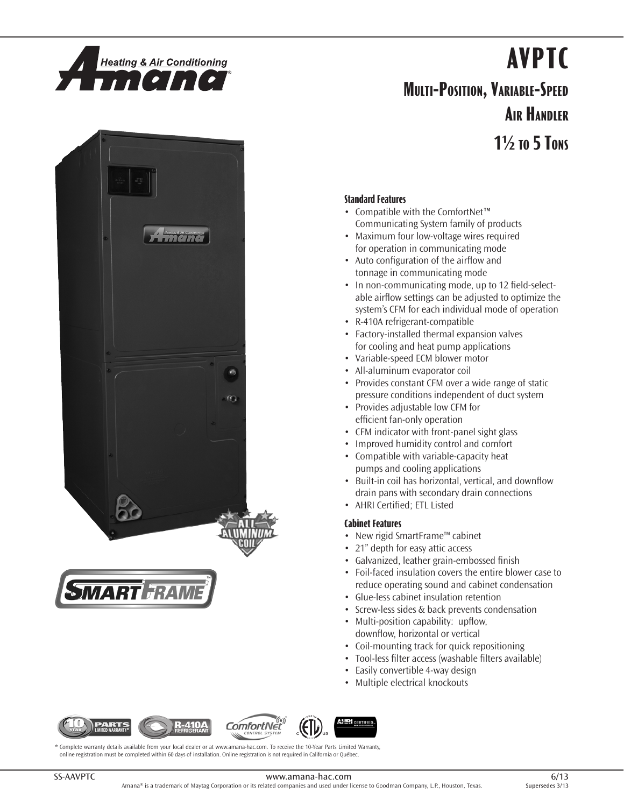

# **AVPTC**

# **Multi-Position, Variable-Speed Air Handler**

**1½ to 5 Tons**





### **Standard Features**

- • Compatible with the ComfortNet*™* Communicating System family of products
- Maximum four low-voltage wires required for operation in communicating mode
- Auto configuration of the airflow and tonnage in communicating mode
- In non-communicating mode, up to 12 field-selectable airflow settings can be adjusted to optimize the system's CFM for each individual mode of operation
- • R-410A refrigerant-compatible
- Factory-installed thermal expansion valves for cooling and heat pump applications
- • Variable-speed ECM blower motor
- • All-aluminum evaporator coil
- Provides constant CFM over a wide range of static pressure conditions independent of duct system
- Provides adjustable low CFM for efficient fan-only operation
- CFM indicator with front-panel sight glass
- • Improved humidity control and comfort
- • Compatible with variable-capacity heat pumps and cooling applications
- Built-in coil has horizontal, vertical, and downflow drain pans with secondary drain connections
- • AHRI Certified; ETL Listed

### **Cabinet Features**

- • New rigid SmartFrame™ cabinet
- 21" depth for easy attic access
- • Galvanized, leather grain-embossed finish
- Foil-faced insulation covers the entire blower case to reduce operating sound and cabinet condensation
- • Glue-less cabinet insulation retention
- Screw-less sides & back prevents condensation
- Multi-position capability: upflow, downflow, horizontal or vertical
- Coil-mounting track for quick repositioning
- Tool-less filter access (washable filters available)
- Easily convertible 4-way design
- Multiple electrical knockouts









\* Complete warranty details available from your local dealer or at www.amana-hac.com. To receive the 10-Year Parts Limited Warranty, online registration must be completed within 60 days of installation. Online registration is not required in California or Québec.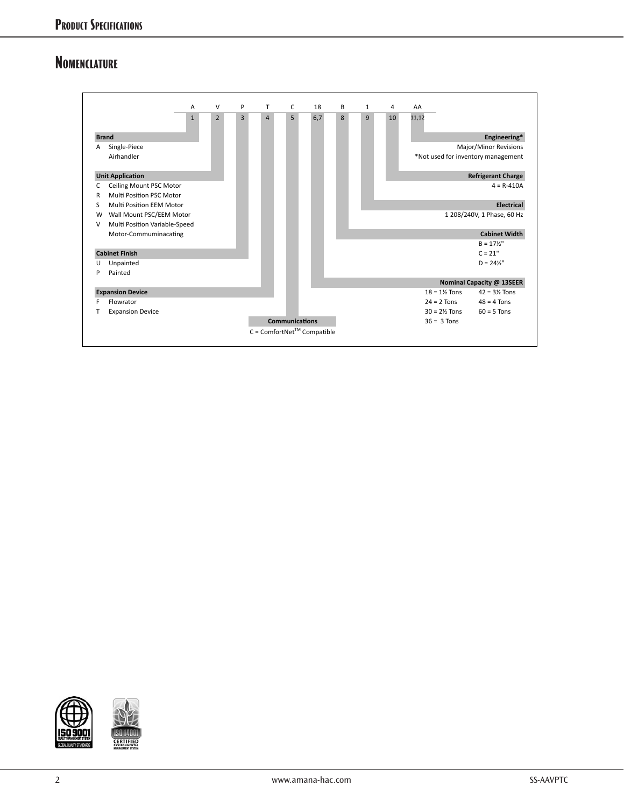# **Nomenclature**





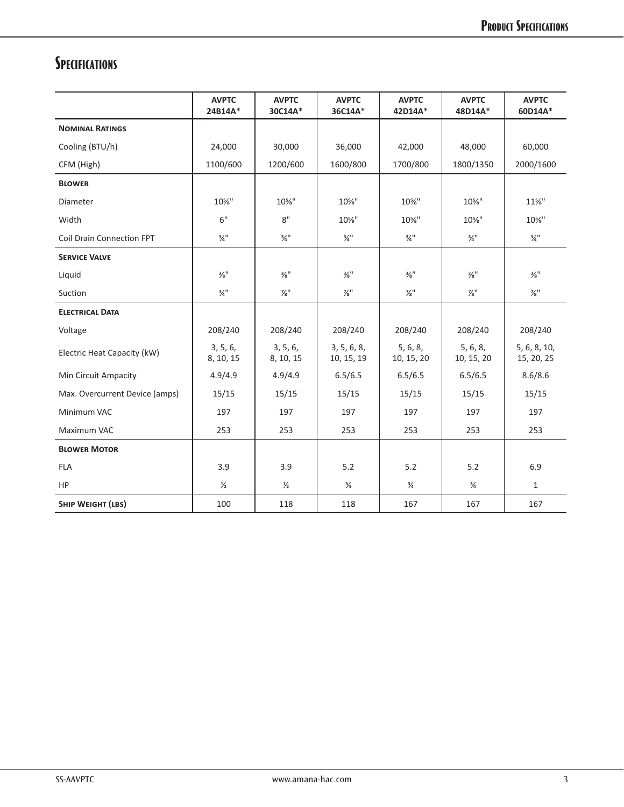# **Specifications**

|                                  | <b>AVPTC</b><br>24B14A*     | <b>AVPTC</b><br>30C14A*     | <b>AVPTC</b><br>36C14A*     | <b>AVPTC</b><br>42D14A*     | <b>AVPTC</b><br>48D14A*     | <b>AVPTC</b><br>60D14A*     |
|----------------------------------|-----------------------------|-----------------------------|-----------------------------|-----------------------------|-----------------------------|-----------------------------|
| <b>NOMINAL RATINGS</b>           |                             |                             |                             |                             |                             |                             |
| Cooling (BTU/h)                  | 24,000                      | 30,000                      | 36,000                      | 42,000                      | 48,000                      | 60,000                      |
| CFM (High)                       | 1100/600                    | 1200/600                    | 1600/800                    | 1700/800                    | 1800/1350                   | 2000/1600                   |
| <b>BLOWER</b>                    |                             |                             |                             |                             |                             |                             |
| Diameter                         | 10%"                        | 10%"                        | 10%"                        | 10%"                        | 10%"                        | $11\%$ "                    |
| Width                            | 6"                          | 8"                          | 10%"                        | 10%"                        | 10%"                        | 10%"                        |
| <b>Coil Drain Connection FPT</b> | $\frac{3}{4}$ <sup>11</sup> | $\frac{3}{4}$ <sup>11</sup> | $\frac{3}{4}$ <sup>11</sup> | $\frac{3}{4}$ <sup>11</sup> | $\frac{3}{4}$ <sup>11</sup> | $\frac{3}{4}$ <sup>11</sup> |
| <b>SERVICE VALVE</b>             |                             |                             |                             |                             |                             |                             |
| Liquid                           | $\frac{3}{8}$ <sup>11</sup> | $\frac{3}{8}$ <sup>11</sup> | $\frac{3}{8}$ <sup>11</sup> | $\frac{3}{8}$ <sup>11</sup> | $\frac{3}{8}$ <sup>11</sup> | $\frac{3}{8}$ <sup>11</sup> |
| Suction                          | $\frac{3}{4}$ <sup>11</sup> | $\frac{7}{8}$ "             | $\frac{7}{8}$ "             | $\frac{7}{8}$ "             | $\frac{7}{8}$ "             | $\frac{7}{8}$ "             |
| <b>ELECTRICAL DATA</b>           |                             |                             |                             |                             |                             |                             |
| Voltage                          | 208/240                     | 208/240                     | 208/240                     | 208/240                     | 208/240                     | 208/240                     |
| Electric Heat Capacity (kW)      | 3, 5, 6,<br>8, 10, 15       | 3, 5, 6,<br>8, 10, 15       | 3, 5, 6, 8,<br>10, 15, 19   | 5, 6, 8,<br>10, 15, 20      | 5, 6, 8,<br>10, 15, 20      | 5, 6, 8, 10,<br>15, 20, 25  |
| Min Circuit Ampacity             | 4.9/4.9                     | 4.9/4.9                     | 6.5/6.5                     | 6.5/6.5                     | 6.5/6.5                     | 8.6/8.6                     |
| Max. Overcurrent Device (amps)   | 15/15                       | 15/15                       | 15/15                       | 15/15                       | 15/15                       | 15/15                       |
| Minimum VAC                      | 197                         | 197                         | 197                         | 197                         | 197                         | 197                         |
| Maximum VAC                      | 253                         | 253                         | 253                         | 253                         | 253                         | 253                         |
| <b>BLOWER MOTOR</b>              |                             |                             |                             |                             |                             |                             |
| <b>FLA</b>                       | 3.9                         | 3.9                         | 5.2                         | 5.2                         | 5.2                         | 6.9                         |
| <b>HP</b>                        | $\frac{1}{2}$               | $\frac{1}{2}$               | $\frac{3}{4}$               | $\frac{3}{4}$               | $\frac{3}{4}$               | $\mathbf{1}$                |
| <b>SHIP WEIGHT (LBS)</b>         | 100                         | 118                         | 118                         | 167                         | 167                         | 167                         |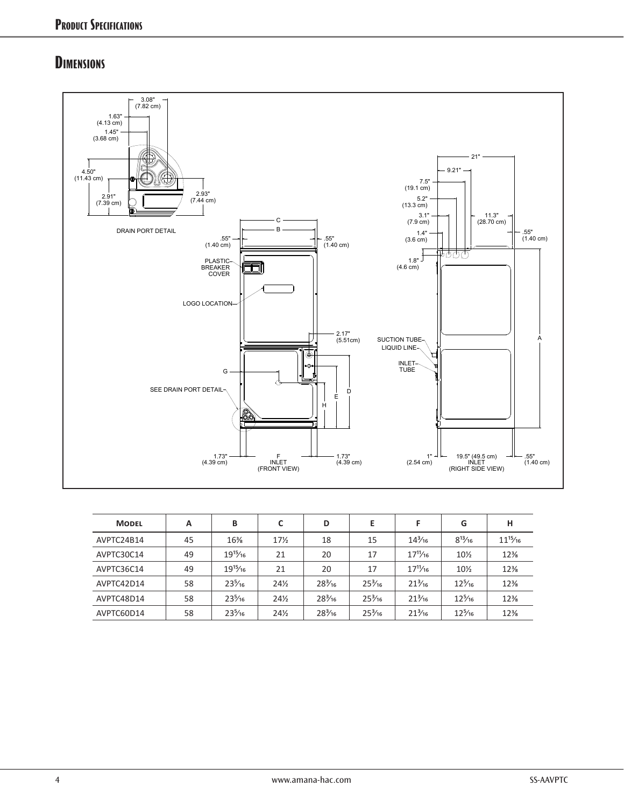1.63

11.91

2.93 3.07

## **Dimensions**



| <b>MODEL</b> | A  | B                | C               | D                | E                |                  | G                | н            |
|--------------|----|------------------|-----------------|------------------|------------------|------------------|------------------|--------------|
| AVPTC24B14   | 45 | $16\%$           | $17\frac{1}{2}$ | 18               | 15               | $14\frac{3}{16}$ | $8^{13}/_{16}$   | $11^{15}/16$ |
| AVPTC30C14   | 49 | $19^{15}/16$     | 21              | 20               | 17               | $17^{11}/16$     | $10\%$           | $12\%$       |
| AVPTC36C14   | 49 | $19^{15}/16$     | 21              | 20               | 17               | $17^{11}/16$     | $10\%$           | $12\%$       |
| AVPTC42D14   | 58 | $23\frac{5}{16}$ | $24\frac{1}{2}$ | $28\frac{3}{16}$ | $25\frac{3}{16}$ | $21\frac{3}{16}$ | $12\frac{5}{16}$ | $12\%$       |
| AVPTC48D14   | 58 | $23\frac{5}{16}$ | $24\frac{1}{2}$ | $28\frac{3}{16}$ | $25\frac{3}{16}$ | $21\frac{3}{16}$ | $12\frac{5}{16}$ | $12\%$       |
| AVPTC60D14   | 58 | $23\frac{5}{16}$ | $24\frac{1}{2}$ | $28\frac{3}{16}$ | $25\frac{3}{16}$ | $21\frac{3}{16}$ | $12\frac{5}{16}$ | $12\%$       |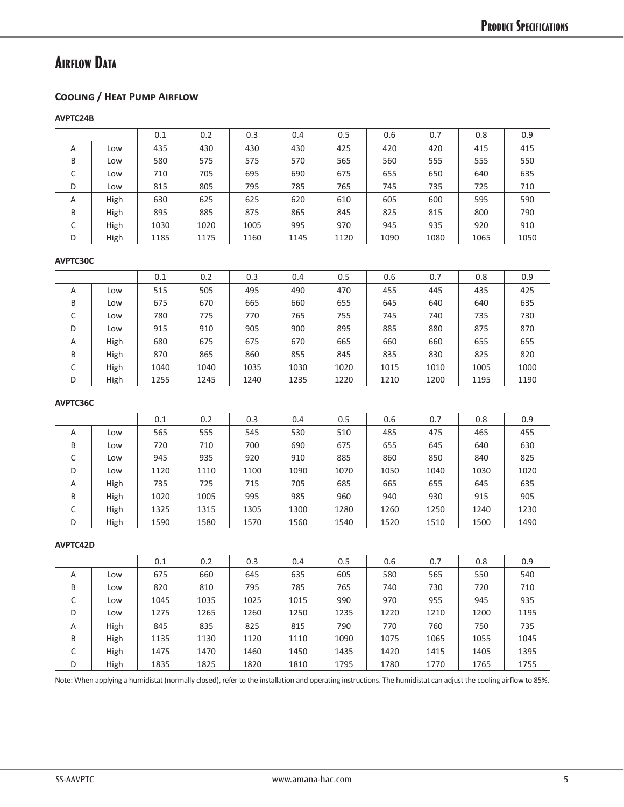# **Airflow Data**

### **Cooling / Heat Pump Airflow**

**AVPTC24B**

|   |      | 0.1  | 0.2  | 0.3  | 0.4  | 0.5  | 0.6  | 0.7  | 0.8  | 0.9  |
|---|------|------|------|------|------|------|------|------|------|------|
| A | Low  | 435  | 430  | 430  | 430  | 425  | 420  | 420  | 415  | 415  |
| B | Low  | 580  | 575  | 575  | 570  | 565  | 560  | 555  | 555  | 550  |
| J | Low  | 710  | 705  | 695  | 690  | 675  | 655  | 650  | 640  | 635  |
| D | Low  | 815  | 805  | 795  | 785  | 765  | 745  | 735  | 725  | 710  |
| A | High | 630  | 625  | 625  | 620  | 610  | 605  | 600  | 595  | 590  |
| B | High | 895  | 885  | 875  | 865  | 845  | 825  | 815  | 800  | 790  |
| C | High | 1030 | 1020 | 1005 | 995  | 970  | 945  | 935  | 920  | 910  |
| D | High | 1185 | 1175 | 1160 | 1145 | 1120 | 1090 | 1080 | 1065 | 1050 |
|   |      |      |      |      |      |      |      |      |      |      |

#### **AVPTC30C**

|        |      | 0.1  | 0.2  | 0.3  | 0.4  | 0.5  | 0.6  | 0.7  | 0.8  | 0.9  |
|--------|------|------|------|------|------|------|------|------|------|------|
| A      | Low  | 515  | 505  | 495  | 490  | 470  | 455  | 445  | 435  | 425  |
| B      | Low  | 675  | 670  | 665  | 660  | 655  | 645  | 640  | 640  | 635  |
| ◡      | Low  | 780  | 775  | 770  | 765  | 755  | 745  | 740  | 735  | 730  |
| D      | Low  | 915  | 910  | 905  | 900  | 895  | 885  | 880  | 875  | 870  |
| A      | High | 680  | 675  | 675  | 670  | 665  | 660  | 660  | 655  | 655  |
| B      | High | 870  | 865  | 860  | 855  | 845  | 835  | 830  | 825  | 820  |
| r<br>◡ | High | 1040 | 1040 | 1035 | 1030 | 1020 | 1015 | 1010 | 1005 | 1000 |
| D      | High | 1255 | 1245 | 1240 | 1235 | 1220 | 1210 | 1200 | 1195 | 1190 |

#### **AVPTC36C**

|             |      | 0.1  | 0.2  | 0.3  | 0.4  | 0.5  | 0.6  | 0.7  | 0.8  | 0.9  |
|-------------|------|------|------|------|------|------|------|------|------|------|
| A           | Low  | 565  | 555  | 545  | 530  | 510  | 485  | 475  | 465  | 455  |
| B           | Low  | 720  | 710  | 700  | 690  | 675  | 655  | 645  | 640  | 630  |
| $\sim$<br>J | Low  | 945  | 935  | 920  | 910  | 885  | 860  | 850  | 840  | 825  |
| D           | Low  | 1120 | 1110 | 1100 | 1090 | 1070 | 1050 | 1040 | 1030 | 1020 |
| A           | High | 735  | 725  | 715  | 705  | 685  | 665  | 655  | 645  | 635  |
| B           | High | 1020 | 1005 | 995  | 985  | 960  | 940  | 930  | 915  | 905  |
| ◡           | High | 1325 | 1315 | 1305 | 1300 | 1280 | 1260 | 1250 | 1240 | 1230 |
| D           | High | 1590 | 1580 | 1570 | 1560 | 1540 | 1520 | 1510 | 1500 | 1490 |

### **AVPTC42D**

|   |      | 0.1  | 0.2  | 0.3  | 0.4  | 0.5  | 0.6  | 0.7  | 0.8  | 0.9  |
|---|------|------|------|------|------|------|------|------|------|------|
| A | Low  | 675  | 660  | 645  | 635  | 605  | 580  | 565  | 550  | 540  |
| B | Low  | 820  | 810  | 795  | 785  | 765  | 740  | 730  | 720  | 710  |
| C | Low  | 1045 | 1035 | 1025 | 1015 | 990  | 970  | 955  | 945  | 935  |
| D | Low  | 1275 | 1265 | 1260 | 1250 | 1235 | 1220 | 1210 | 1200 | 1195 |
| A | High | 845  | 835  | 825  | 815  | 790  | 770  | 760  | 750  | 735  |
| B | High | 1135 | 1130 | 1120 | 1110 | 1090 | 1075 | 1065 | 1055 | 1045 |
| C | High | 1475 | 1470 | 1460 | 1450 | 1435 | 1420 | 1415 | 1405 | 1395 |
| D | High | 1835 | 1825 | 1820 | 1810 | 1795 | 1780 | 1770 | 1765 | 1755 |

Note: When applying a humidistat (normally closed), refer to the installation and operating instructions. The humidistat can adjust the cooling airflow to 85%.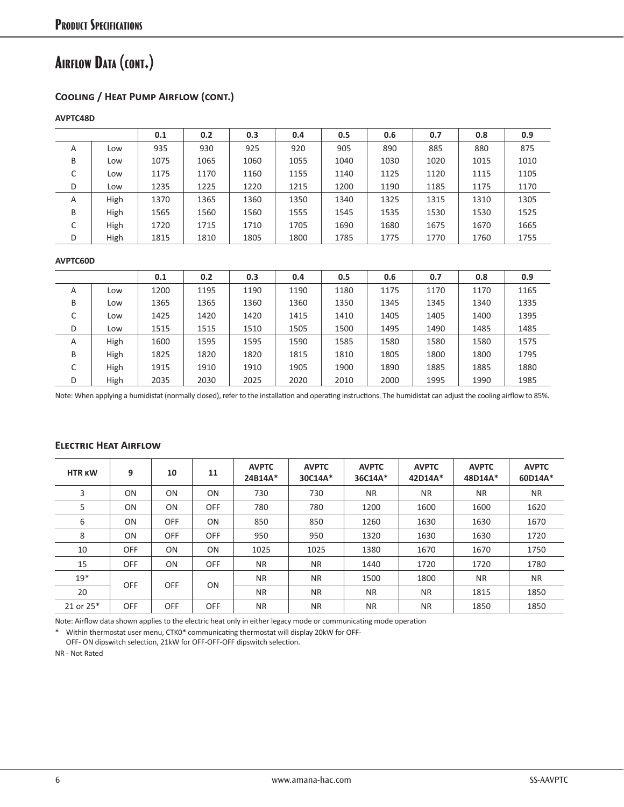# **Airflow Data (cont.)**

### **Cooling / Heat Pump Airflow (cont.)**

### **AVPTC48D**

|   |      | 0.1  | 0.2  | 0.3  | 0.4  | 0.5  | 0.6  | 0.7  | 0.8  | 0.9  |
|---|------|------|------|------|------|------|------|------|------|------|
| A | Low  | 935  | 930  | 925  | 920  | 905  | 890  | 885  | 880  | 875  |
| B | Low  | 1075 | 1065 | 1060 | 1055 | 1040 | 1030 | 1020 | 1015 | 1010 |
| C | Low  | 1175 | 1170 | 1160 | 1155 | 1140 | 1125 | 1120 | 1115 | 1105 |
| D | Low  | 1235 | 1225 | 1220 | 1215 | 1200 | 1190 | 1185 | 1175 | 1170 |
| A | High | 1370 | 1365 | 1360 | 1350 | 1340 | 1325 | 1315 | 1310 | 1305 |
| B | High | 1565 | 1560 | 1560 | 1555 | 1545 | 1535 | 1530 | 1530 | 1525 |
| C | High | 1720 | 1715 | 1710 | 1705 | 1690 | 1680 | 1675 | 1670 | 1665 |
| D | High | 1815 | 1810 | 1805 | 1800 | 1785 | 1775 | 1770 | 1760 | 1755 |

#### **AVPTC60D**

|   |      | 0.1  | 0.2  | 0.3  | 0.4  | 0.5  | 0.6  | 0.7  | 0.8  | 0.9  |
|---|------|------|------|------|------|------|------|------|------|------|
| A | Low  | 1200 | 1195 | 1190 | 1190 | 1180 | 1175 | 1170 | 1170 | 1165 |
| B | Low  | 1365 | 1365 | 1360 | 1360 | 1350 | 1345 | 1345 | 1340 | 1335 |
| J | Low  | 1425 | 1420 | 1420 | 1415 | 1410 | 1405 | 1405 | 1400 | 1395 |
| D | Low  | 1515 | 1515 | 1510 | 1505 | 1500 | 1495 | 1490 | 1485 | 1485 |
| A | High | 1600 | 1595 | 1595 | 1590 | 1585 | 1580 | 1580 | 1580 | 1575 |
| B | High | 1825 | 1820 | 1820 | 1815 | 1810 | 1805 | 1800 | 1800 | 1795 |
| ◡ | High | 1915 | 1910 | 1910 | 1905 | 1900 | 1890 | 1885 | 1885 | 1880 |
| D | High | 2035 | 2030 | 2025 | 2020 | 2010 | 2000 | 1995 | 1990 | 1985 |

Note: When applying a humidistat (normally closed), refer to the installation and operating instructions. The humidistat can adjust the cooling airflow to 85%.

| <b>HTR KW</b> | 9              | 10             | 11             | <b>AVPTC</b><br>24B14A* | <b>AVPTC</b><br>30C14A* | <b>AVPTC</b><br>36C14A* | <b>AVPTC</b><br>42D14A* | <b>AVPTC</b><br>48D14A* | <b>AVPTC</b><br>60D14A* |
|---------------|----------------|----------------|----------------|-------------------------|-------------------------|-------------------------|-------------------------|-------------------------|-------------------------|
| 3             | <b>ON</b>      | 0 <sub>N</sub> | 0 <sub>N</sub> | 730                     | 730                     | <b>NR</b>               | <b>NR</b>               | <b>NR</b>               | <b>NR</b>               |
| 5             | 0 <sub>N</sub> | 0 <sub>N</sub> | <b>OFF</b>     | 780                     | 780                     | 1200                    | 1600                    | 1600                    | 1620                    |
| 6             | 0 <sub>N</sub> | <b>OFF</b>     | 0 <sub>N</sub> | 850                     | 850                     | 1260                    | 1630                    | 1630                    | 1670                    |
| 8             | <b>ON</b>      | <b>OFF</b>     | <b>OFF</b>     | 950                     | 950                     | 1320                    | 1630                    | 1630                    | 1720                    |
| 10            | OFF            | 0 <sub>N</sub> | 0 <sub>N</sub> | 1025                    | 1025                    | 1380                    | 1670                    | 1670                    | 1750                    |
| 15            | <b>OFF</b>     | 0 <sub>N</sub> | <b>OFF</b>     | <b>NR</b>               | <b>NR</b>               | 1440                    | 1720                    | 1720                    | 1780                    |
| $19*$         |                |                |                | <b>NR</b>               | <b>NR</b>               | 1500                    | 1800                    | <b>NR</b>               | <b>NR</b>               |
| 20            | <b>OFF</b>     | <b>OFF</b>     | 0N             | <b>NR</b>               | <b>NR</b>               | <b>NR</b>               | <b>NR</b>               | 1815                    | 1850                    |
| 21 or 25*     | <b>OFF</b>     | <b>OFF</b>     | <b>OFF</b>     | <b>NR</b>               | <b>NR</b>               | <b>NR</b>               | <b>NR</b>               | 1850                    | 1850                    |

### **Electric Heat Airflow**

Note: Airflow data shown applies to the electric heat only in either legacy mode or communicating mode operation

\* Within thermostat user menu, CTK0\* communicating thermostat will display 20kW for OFF-

OFF- ON dipswitch selection, 21kW for OFF-OFF-OFF dipswitch selection.

NR - Not Rated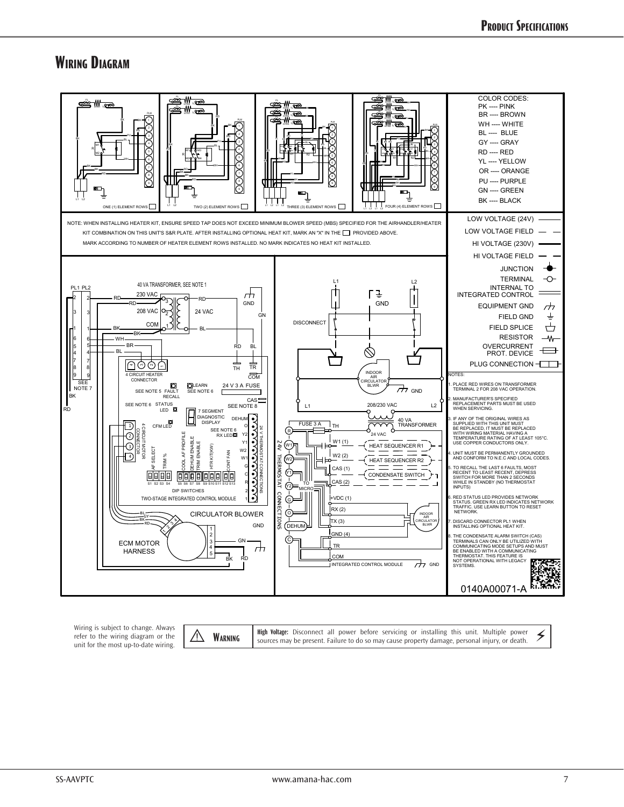## **Wiring Diagram**



Wiring is subject to change. Always refer to the wiring diagram or the<br>unit for the most up-to-date wiring.

wrifling is subject to change. All only and the subject to the subject to the work of the wire and the wire the subject to change. And the sources may be present. Failure to do so may cause property damage, personal injury